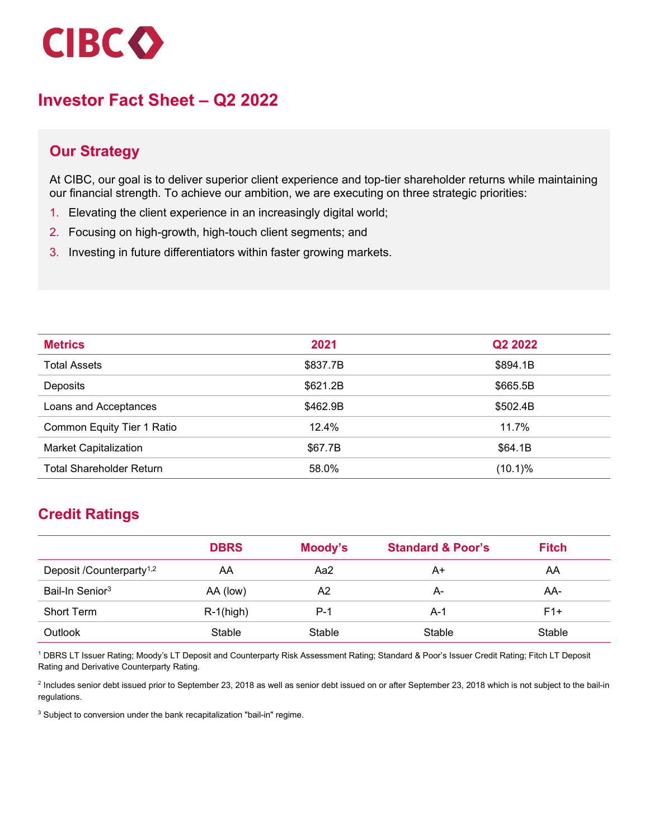

# **Investor Fact Sheet – Q2 2022**

## **Our Strategy**

At CIBC, our goal is to deliver superior client experience and top-tier shareholder returns while maintaining our financial strength. To achieve our ambition, we are executing on three strategic priorities:

- 1. Elevating the client experience in an increasingly digital world;
- 2. Focusing on high-growth, high-touch client segments; and
- 3. Investing in future differentiators within faster growing markets.

| <b>Metrics</b>                  | 2021     | Q2 2022    |
|---------------------------------|----------|------------|
| <b>Total Assets</b>             | \$837.7B | \$894.1B   |
| <b>Deposits</b>                 | \$621.2B | \$665.5B   |
| Loans and Acceptances           | \$462.9B | \$502.4B   |
| Common Equity Tier 1 Ratio      | 12.4%    | 11.7%      |
| <b>Market Capitalization</b>    | \$67.7B  | \$64.1B    |
| <b>Total Shareholder Return</b> | 58.0%    | $(10.1)\%$ |

## **Credit Ratings**

|                                      | <b>DBRS</b>  | Moody's | <b>Standard &amp; Poor's</b> | <b>Fitch</b> |
|--------------------------------------|--------------|---------|------------------------------|--------------|
| Deposit /Counterparty <sup>1,2</sup> | AA           | Aa2     | A+                           | AA           |
| Bail-In Senior <sup>3</sup>          | AA (low)     | A2      | А-                           | AA-          |
| <b>Short Term</b>                    | $R-1$ (high) | P-1     | A-1                          | $F1+$        |
| Outlook                              | Stable       | Stable  | Stable                       | Stable       |

<sup>1</sup> DBRS LT Issuer Rating; Moody's LT Deposit and Counterparty Risk Assessment Rating; Standard & Poor's Issuer Credit Rating; Fitch LT Deposit Rating and Derivative Counterparty Rating.

<sup>2</sup> Includes senior debt issued prior to September 23, 2018 as well as senior debt issued on or after September 23, 2018 which is not subject to the bail-in regulations.

<sup>3</sup> Subject to conversion under the bank recapitalization "bail-in" regime.